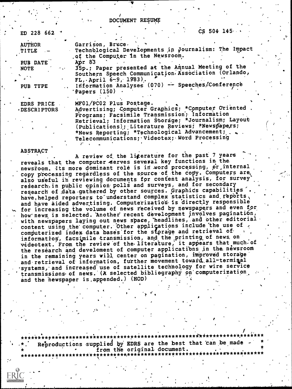DOCUMENT RESUME

 $\sqrt{2}$ 

| ED 228 662 7                                                             | $CS$ 504 145 $\cdots$                                                                                                                                   |  |
|--------------------------------------------------------------------------|---------------------------------------------------------------------------------------------------------------------------------------------------------|--|
| <b>AUTHOR</b><br><b>TITLE</b>                                            | Garrison, Bruce.<br>Technological Developments in Journalism: The Impact<br>of the Computer in the Newsroom.                                            |  |
| RUB DATE<br><b>NOTE</b><br>$\sigma_{\rm{eff}}$ .<br>$\ddot{\phantom{1}}$ | Apr $83$<br>35p.; Paper presented at the Annual Meeting of the<br>Southern Speech Communication Association (Orlando,<br>$FL,$ April 6-9, 1983).        |  |
| PUB TYPE                                                                 | Information Analyses (070) -- Speeches/Conference<br>Papers (150)                                                                                       |  |
| EDRS PRICE<br>DESCRIPTORS                                                | MF01/PC02 Plus Postage.<br>Advertising; Computer Graphics; *Computer Oriented<br>Programs; Facsimile Transmission; Information                          |  |
|                                                                          | Retrieval; Information Storage; *Journalism; Layout<br>(Publications); Literature Reviews; *Newspapers;<br>*News Reporting; *Technological Advancement; |  |

 $\texttt{Telecommon}$  cations; <code>videotex;</code> Word Processing

, .

## ABSTRACT

A review of the literature for the past 7 years reveals that the computer serves several key functions in the newsroom, Its more dominant role is in word processing, or internal copy processing regardless of the source of the copy. Computers are also useful in reviewing documents for content analysis, for survey research-in public opinion polls and surveys, and for secondary research of da'ta.gethered by other sources. Graphids capabilities'. have, helped reporters to understand complex statistics and reports, and have aided advertising. Computerization is directly responsible for increasing the volume of news received by newspapers and even for how news is selected. Another recent development involves pagination, with newspapers laying out news space, headlines, and other editorial content using the computer. Other applications include the use of  $\epsilon$ computerized index data bases for the storage and retrieval of information, facsimile transmission, and the printing of news on videotext. From the review of the literature, it appears that much of the research and develoment of computer applications in the newsroom in the remaining years will center on pagination, improved storage and retrieval of information, further movement toward all-terminal -systems, and increased use of satellite technology for wire service transmissions of news. (A selected bibliography on computerization, and the newspaper is appended.) (HOD)

, . . , I , \*\*\*\*\*\*\*\*t\*\*.\*\*\*\*\*\*\*\*\*\*.\*\*\*\*\*\*\*\*\*\*\*Ititic\*\*\*\*\*\*\*\*\*\*\*\*\*\*\*\*i\*\*\*\*\*\*\*\*\*\*\*\*.\*\*\*\*\*\*\* Reproductions supplied by EDRS are the best that 'can be made<br>from the original document. \* . from the original document. . \* \*\*\*\*\*\*\*\*\*\*\*\*\*\*\*\*\*\*\*\*\*\*\*\*\*\*\*\*\*\*t\*\*\*\*\*\*\*\*\*\*\*\*\*\*\*\*\*\*\*\*\*\*\*\*\*;\*\*\*\*\*\*\*\*\*\*\*\*\* . ,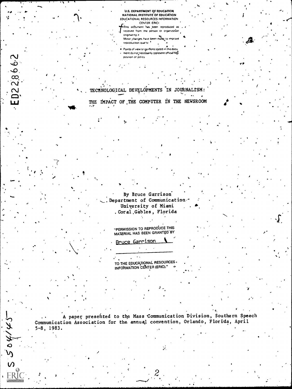U.S. DEPARTMENT OF EDUCATION NATIONAL INSTITUTE OF EDUCATION EDUCATIONAL RESOURCES INFORMATION CENTER (ERIC)

This document has been reproduced as received from the person or organization originating it. Minor changes have been make to improve

reproduction quality.<sup>1</sup>

Points of view or gointons stated in this docu ment do not necessarily represent official NIE position or policy.

TECHNOLOGICAL DEVELOPMENTS IN JOURNALISM: THE IMPACT OF THE COMPUTER IN THE NEWSROOM

0228662

 $5.504/4$ 

By Bruce Garrison .<br>Department of Communication University of Miami . Coral Gables, Florida

"PERMISSION TO REPRODUCE THIS MATERIAL HAS BEEN GRANTED BY

Bruce Garrison

TO THE EDUCATIONAL RESOURCES. INFORMATION CENTER (ERIC)."

A paper presented to the Mass Communication Division, Southern Speech Communication Association for the annual convention, Orlando, Florida, April  $5 - 8$ , 1983.

Ď.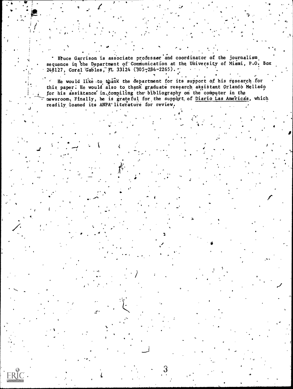Bruce Garrison is associate professor and coordinator of the journalism sequence in the Department of Communication at the University of Miami, P.O. Box 248127, Coral Gables, FL 33124 (305-284-2265).

He would like to thank the department for its support of his research for this paper. He would also to thank graduate research assistant Orlando Mellado for his assistance in compiling the bibliography on the computer in the newsroom. Finally, he is grateful for the support of Diario Las Americas, which readily loaned its ANPA literature for review.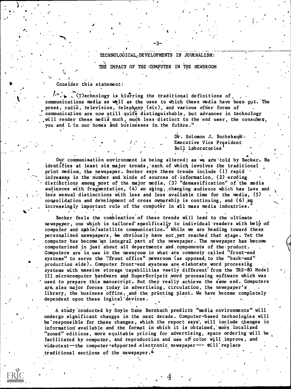## TECHNOLOGICAL,7DEVELOPMENTS IN JOURNALISM:

-3-

4

e

THE IMPACT OF THE COMPUTER IN THE NEWSROOM

Consider this statement:

,

c in the set of the set of the set of the set of the set of the set of the set of the set of the set of the set of the set of the set of the set of the set of the set of the set of the set of the set of the set of the set

. .  $\mathcal{L}^{\mathsf{u}}$ .  $\blacklozenge$  . (T)echnology is blurring the traditional definitions of , ... communications media as well as the uses to which these media have been put. The press, radio, television, telephony (sic), and various other forms of communication are now still quite distinguishable, but advances in technology will render these media much, much less distinct to the end user, the consumer, you and I in our homes and businesses in the future."

> Dr. Solomon J. Buchsbaum-Executive Vice President Bel). Laboratories

Our communication environment is being altered; as we are told by Becker. He identifies at least six major trends,'each.of which involves the traditional ; print medium, the newspaper, Becker says these trends include (1) rapid increases in the number and kinds of sources of information, (2) eroding distinctions among most of the major media, (3) "demassification" of the media audiences with fragmentation, (4) an aging, changing audience which has less and less sexual distinctions with less and less available time for the media, (5) consolidation and development of cross ownership is continuing, and  $(6)$  and increasingly important role of the computer in all mass media induatries.  $\mathcal{L}_{\mathcal{A}}$  is a set of  $\mathcal{L}_{\mathcal{A}}$ **With the Contract of the Contract of the Contract of the Contract of the Contract of the Contract of the Contract of the Contract of the Contract of the Contract of the Contract of The Contract of The Contract of The Cont** 

Becker feels the combination of these trends will lead to the ultimate newspaper, one which is tailored specifically to individual readers with help of computer and cable/satellite communication. While we are heading toward these personalized newspapers, we obviously have not yet reached that stage. Yet the computer has become an integral part of the newspaper. The newspaper has become computerized in just about all departments and,components of the-product. Computers are in use in the newsroom in what are commonly called "front-end systems" to serve the "front office" newsroom (as opposed, to the "back-end" production side). Computer front-end systems are elaborate word processing systems with massive storage capabilities vastly different from the TRS-80 Model III microcomputer hardware and SuperScripsit word processing software which was used to prepare this manuscript. But they really achieve the same end. Computers are also major forces today in advertising, circulation, the newspaper's library, the business office, and the printing plant. We have become completely dependent upon these logicai'devices.

A study conducted by Doyle Dane Bernbach predicts "media environments" will and the study of the media of the undergo significant changes in the next decade. Computer-based technologies will be'responsible for these changes,. which the report says', will include changes in information available and the format in which it is obtained, more localized "zoned" editions, more equitable pricing for advertising, space ordering will be facilitated by computer, and reproduction and use of color will improve, and videotext--the computer-supported electronic newspaper--- will'replace traditional sections of the newspaper.<sup>4</sup>

 $\c4$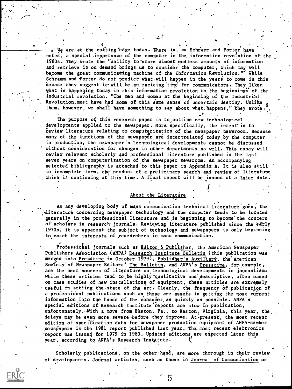We are at the cutting edge today. There is, as Schramm and Porter have  $\sim$  . noted, a special .importance of the computer in the, information revolution of the 1980s. They wrote the "ability to-store almost endless amounts of information and retrieve it on demand brings us to consider the computer, which may well become the great communicating machine of the Information Revolution." While Schramm and Porter do not predict what.will happen in the years to come in this decade they suggest it-will be an exciting time for communicators. They liken what is happening today in this information revolution to the beginnings of the industrial revolution. "The men and women at the beginning of the Industrial Revolution,must have had some of this same sense of uncertain destiny. Unlik them, however, we shall have something to say about what happens," they wrote . .

 $\mathbf{v}_1$  : and the set of the set of the set of the set of the set of the set of the set of the set of the set of the set of the set of the set of the set of the set of the set of the set of the set of the set of the set

 $-4-$ 

The purpose of this research paper is to outline new technological developments applied to the newspaper. More specifically, the intent is to 'review literature relating to computerization of the newspaper newsroom. Because many of the functions of the newspaper are intertrelated today by the computer in pfoduction, the newspaper's technological developments cannot be discussed ' without consideration for changes in other departments as well. This essay will review relevant scholarly and professional literature published in the lest seven years on computerization of the newspaper newsroom. An accompanying selected bibliography is attached to this paper in Appendix A. It is also still in incomplete form, the product of a preliminary search and review of literature which is continuing at this time. A'final report will be issued at a later date.'

## About the Literature

 $\mathcal{A} = \mathcal{A}$ 

As any developing body of mass communication technical literature goes, the literature concerning newspaper technology and the computer tends to be located generally in the professional literature and is beginning to become the concern of scholars in research journals. Reviewing literature published since the early 1970s, it is apparent the subject of technology and newspapers is only beginning to catch the interests of esearchers in mass communication.

Professional journals such as Editor & Publisher, the American Newspaper Publishers Association (ANPA) Research Institute Bulletin (this publication was merged into Presstime in October 1979), Publisher's Auxiliary, the American Society of Newspaper Editors' The Bulletin, and ANPA's Presstime, for example, are the best sources of literature on technological developments in journalism. While these articles tend to be highly qualitative and descriptive, often based on case studies of new installations of,equipment, these articles are extremely useful in setting the state of the art. Clearly, the frequency of publication of a professional publications such as these are assets in getting the most current information into the hands of the consumer as quickly as possible. ANPA's special editions of Research Institute reports are slow in publication, unfortunately. With a move from Easton, Pa., to Reston, Virginia, this year, the. delays may be even more severe-before they improve. At present, the most recent edition of specification data for newspaper production equipment of ANPA-member newspapers is the 1981 report published last year. The most recent electronics report was issued for 1979 in 1980. Updated editions are expected later this year, according to ANPA's Research Institute.

Scholarly publications, on the other hand, are more thorough in their review of developments. Journal articles, such as those in Journal of Communication or

G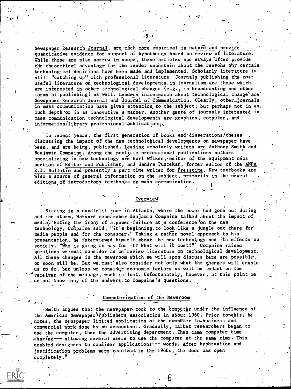Newspaper Research Journal, are much more empirical in nature and provide quantitative evidênce for support of hypotheses based on review of literature. While these are also narrow in scope, these articles and essays often provide the theoretical advantage for the reader uncertain about the reasohs why certain technological decisions have been made and implemented. Scholarly literature is still "catching up" with professional literature. Journals publishing the most useful.literature on.technological developments.in journalism are those which are interested in other technological changes (e.g., in broadcasting and other forms of publishing) as well. Leaders in\_research about technological change are Newspaper Research Journal and Journal of Communication. Clearly, other\_journals -in mass communication have given attention td the subject; but perhaps not in as. much depth or in as innovative a manner. Another genre of journals interested in mass commdnication technological developments are graphics, computer, and information/library professional publications.,

f.

 $($ 

e

, .

'In recent years, the first generation of books and-disserations/theses discussing the impact  $\phi f$  the new technological developments on newspaper have been, and are being, published. Leading scholarly writers are Anthony Smith and Benjamin Compaine. Among the prolific professional publications authors specializing in new technology are Earl Wilken, editor of the equipment news section'of Editor and Publisher, and Sandra Puncekar, former editor of the ANPA R. L. Bulletin and presently a part-time writer for Presstime. New textbooks are also a source of general information on the subject, primarily in the newest editions of introductory textbooks on mass communication.

4 .

## . Overview

Sitting in a candlelit room in Atlanta, where the power had gone out during and ice storm, Harvard researcher Benjamin Compaine talked about the impact of media. Noting the irony of a power failure at a conference on the new technology, Compaine said, "it's beginning to look like a jungle out there for media people and for the consumer." Taking a rather'novel approach to his presentation, he interviewed himself. about the new technology and its effects on society. "Who is going to pay for it? What will it cost?"' Compaine raised 'questions we.must consider as we review literature on technological development. All these changes in the newsroom which we will soon discuss here are possible, or soon will be. But we must also consider not 'only what the changes will enable us to do, but unless we consider economic factors as well as impact on the receiver of the message, much is lost. Unfortunately, however, at this point we . do not know many of the answers to Compaine's questions.

Computeri4ation of the Newsroom

- -Smith argues that the newspaper took to the computer under the influence of the American Newspaper Publishers Association in about 1960. Prior to this, he  $\varphi$  notes, the newspaper limited application of the computer to business and commercial work done by an accountant. Gradually, market researchers began to use the computer, then the advertising department. Then came computer time .sharing--- allowing several users to use the computer at the same time. This enabled designers to consider applications--- words. After hyphenation and justification problems were resolved, in the 1960s, the door was open completely.<sup>8</sup>  $\mathcal{I}$ 

6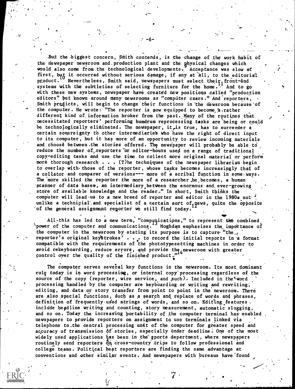But the biggest concern, Smith contends, is the change of the work habit of the riewspaper newsroom and.production plant and the physical changes which would also come from the technological developments. Acceptance was slow at first, but it occurred without serious damage, if any at all, to the editorial product.<sup>10</sup> Nevertheless, Smith said, newspapers must select their<sub>1</sub> front-end systems with the subtleties of selecting furniture for the home.<sup>11</sup> And to go with these new systems, newspaper have created new positions called "production editors" but known around many newsrooms as "computer czars." And reporters, Smith predicts, will begin to change their functions in the newsroom because of the computer. He wrote: "The reporter is now equipped to become a rather different kind of information broker from the past. Many of the routines that necessitated reporters' performing humdrum reprocessing tasks are being or could be technologically eliminated. The newspaper, it<sub>e</sub> is true, has to surrender a certain sovereignty to other intermediaries who have the right of direct input to its computer, but it has more of an opportunity to review incoming materials and choose between.the stories offered. The newspaper will probably be able to reduce the number of reporters or editor-hours used on a range of traditional copy-editing tasks and use the time.to collect more original material' or perform more thorough research  $\cdots$ . (T)he techniques of the newspaper librarian begin to overlap with those of the reporter, whose tasks becomes increasingly that of a collator and comparer of versions--- more of a scribal function in some ways. The more skilled the reporter the more of a researcher he becomes, a human 'scanner of data bases, an intermediary between the enormous and, ever-growing store of available knowledge and the reader," In short, Smith tbihks the computer will lead us to a new breed of reporter and editor in the 1980s not unlike a technicial and specialist of a certain sort of news, quite the opposite<br>of the coningl assignment measured in still fied today 12 'of the general assignment reporter we still find today.

All-this has led to a new term, "compunications," to represent the combined \power of the computer and communications. Moghdam emphasizes the impdrtance of the computer in the newsroom by stating its purpose is to capture "the... reporter's original keystrokes' . . . to record the initial reports in a format compatible with the requirements of the phototypesetting machines in order to avoid rekeyboarding, reduce errors, and provide the newsroom with greater control over the quality of the finished product."

The computer serves several key functions in the newsroom. Its most dominant role today is in word processing, or internal copy'processing regardless of the source of the copy (reporter, wire service, and such). Included in the<sup>l</sup> word processing handled by the computer are keyboarding or writing and rewriting; editing, and data or story transfer from point to point in the newsroom. There are also special functions, such as a search and replace of words and phrases, definition of frequently used strings of words, and so on. Editing features. include headline writing and counting, story measurement, automatic slugging, and so on. Today the increasing portability of the computer terminal has enabled newspapers to provide reporters on assignment to, use terminals linked via telephone to,the central processing unit of the computer for greater speed and accuracy of transmission of stories, especially under deadline. One of the most widely used applications has been in the sports department, where newspapers routinely send reporters  $\partial \alpha$  cross-country trips to follow professional and college teams. Political beat reporters are finding the same advantage at conventions and other similar events. And newspapers with bureaus have'found

0.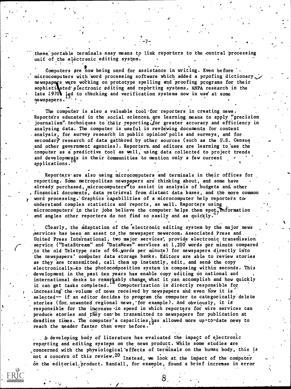these portable terminals easy means to link reporters to the -central processing unit of the electronic editing system.

-7--

Computers are now being used for assistance in writing. Even before '. microcomputers with word processing software which added a proofing dictionary,  $\chi$ newspapers were working on prototype spelling and proofing programs for their sophistidated electronic editing and reporting systems. ANPA research in the late 1970 led to checking and verification systems now in use at some newspapers. ,

The computer is also a valuable tool for reporters in creating news. Reporters educated in the social sciences, are learning means to apply "precision journalism". techniques to their reporting for greater accuracy and efficiency in analyzing data. The computer is useful in reviewing documents for content analysis, for survey research in public opinion' polls and surveys, and for secondary research of data gathered by other sources (such as the  $U.S.$  Census and other government agencies). Reporter's and editors are learning to use the computer as a predictive tool as well, using data collected to project trends and developments in their communities to mention only a few current applications.

Reporters are also using microcomputers and terminals in their offices for reporting. Some metropolitan newspapers are thinking about, and some have already purchased, microcomputers<sup>4</sup>to assist in analysis of budgets and, other financial documents, data retrieval from distant data beses, and the more common word processing. Graphics capabilities of a microcomputer help reporters to understand complex statistics and reports, as well. Reporters using microcomputers' in their jobs believe the computer helps them spot, information and angles other reporters do not find so easily and as quickly.

00.

Clearly, the adaptation of the electronic editing system by the major news (services has been an asset td.the newspaper newsroom. Associated Press and, United Press International, two major services, provide electronic transmission service ("DataStream" and "DataNews" services at 1,200 words per minute compared to the old Teletype rate of 66-gords per minute) for newspapers directly into the newspapers' codputer data storage banks. Editors are able to review stories as they are transmitted, call them up instantly, edit, and send the copy electronically-to the photocomposition system in composing within seconds. This development in the past ten years has enable copy editing on national and international desks to remarkably change, what it can accomplish and how quickly it can get tasks completed.<sup>10</sup> Computerization is directly responsible for increasing the volume of news received by newspapers and even how it is selected-- if an editor decides to program the computer to categorically delete stories (for. unwanted regional news, for example). And obviously, it is responsible for the increase in speed in which reporters for wire services can produce stories and they can be transmitted to newspapers for publication at deadline times. The computer's capacities, has allowed more up-to-date news to reach the neader faster than ever before.

4-developing body of literature has. evaluated the impact of electroni c reporting and editing systems on the news product. While some studies are concerned with the physiological effects of terminals on the human body, this is not a concern of this review.<sup>20</sup> Instead, we look at the impact of the computer on the editorial, product. Randall, for example, found a brief increase in error

 $\delta$ ,  $\beta$ ,  $\beta$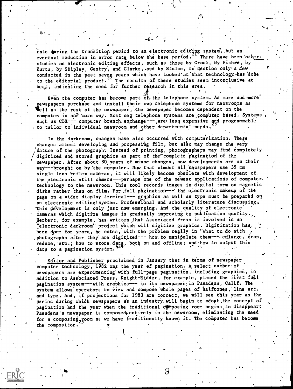rate during the transition period to an electronic editing system, but an eventual reduction in error rate below the base period. There have been other. studies on electronic editing effects, such as those by Crook, by Fisher, by Kurtz, by Shipley, Gentry, and Clarke, and by Stulce, to mention only a few conducted in the past seven years which have looked at what technology, has done<br>to the editorial product. The results of these studies seem inconclusive at best, indicating the need for further research in this area.

Even the computer has become part  $\delta \mathbf{f}_k$  the telephone system. As more and more pewspapers purchase and install their own telephone systems for newsrooms as Well as the rest of the newspaper, the newspaper becomes dependent on the computer in one more way. Most new telephone systems are computer based. Systems such as CBX--- computer branch exchange---, are less expensive and programmable to tailor to individual newsroom and other departmental needs.

In the darkroom, changes have also occurred with computerization. These changes affect developing and processing film, but also may change the very nature of the photograph. Instead of printing, photographers may find completely digitized and stored graphics as part of the complete pagination of the newspaper. After about 80 years of minor changes, new developments are on their way---brought on by the computer. Now that almost all newspapers use 35 mm single lens reflex cameras, it will likely become obsolete with development of. the electronic still camera---perhaps one of the newest applications of computer. technology to the newsroom. This tool records images in digital form on magnetic disks rather than on film. For full pagination--- the electronic makeup of the page on a video display terminal--- graphics as well as type must be prepared on an electronic editing system. Professional and scholarly literature discussing, this development is only just now emerging. And the quality of electronic cameras which digitize images is gradually improving to publication quality. Herbert, for example, has written that Associated Press is involved in an "electronic darkroom" project which will digitize graphics. Digitization has, been done for years, he notes, with the problem really in "what to do with photographs after they are digitized --- how to manipulate them--- enlarge, crop, reduce, etc.; how to store data, both on and offline; and how to output this data to a pagination system.  $n^{24}$ 

Editor and Publisher proclaimed in January that in terms of newspaper computer technology, 1982 was the year of pagination. A select number of newspapers are experimenting with full-page pagination, including graphics, in addition to Associated Press. Knight-Ridder, for example, placed the first full pagination system---with graphics--- in its newspaper in Pasadena, Calif. The system allows operators to view and compose whole pages of halftones, line art, and type. And, if projections for 1983 are correct, we will see this year as the period during which newspapers as an industry will begin to adopt the concept of pagination and the year when the traditional composing room begins to disappear: Pasadena's newspaper is composed entirely in the newsroom, eliminating the need for a composing, goom as we have traditionally known it. The computer has become the compositor.

9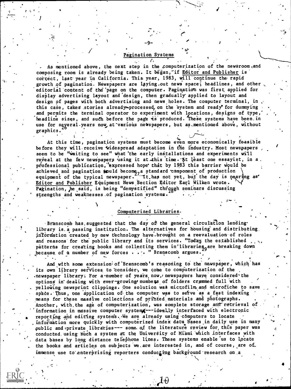#### Pagination Systems

-9-

,

rt i San

1

,

,

As mentioned above, the next step in the computerization of the newsroom, and composing room is already being taken. It began, if Editor and Publisher is correct, last year in California. This year, 1983, will continue the rapid growth of pagination. Newspapers are laying out news space, headlines, and other editorial content of the page on the computer. Pagination was first applied for display advertising layout and design, then gradually applied to layout and design of pages with both advertising and news holes. The computer terminal, in. this case, takes stories already-processed, on the system and ready for dummying and permits the terminal operator to experiment with locations, designs of type, headline sizes, and such before the page is produced. These systems have been in use for seyeral.years now at various newspapers, but as mentioned above, without graphics.

At this time, pagination systems must become even more economically feasible before they will receive widespread adaptation in the industry. Most newspapers seem to be "waiting to see" what 'the early installations and experiments will reveal at the few newspapers using it at this time. At least one essayist, in a. professional publication, expressed hope that by 1983 this barrier would be achieved and pagination  $\mathbf k$ puld become, a standard component of production  $\setminus$ equipment of the typical newspaper. It.has not yet, but the day is nearling as' in the read of the strain and  $\cdot$ Editor and Publisher Equipment News:Section Editor Earl Wilken wrote. Pagination, he said, is being "demystified" through seminars discussing strengths and weaknesses of pagination systems.

## Computerized Libraries-

-Branscomb has, suggested that the day of the general circulation lending. library is a passing institution. The alternatives for housing and distributing, information created by new technology have.brought on a reevaluation of roles and reasons for the public library and its services. "Today, the established  $\ldots$ patterns for creating books and collecting them in libraries<sub>o</sub>are breaking down because of a number of new forces . . . " Branscomb argues.

And with some extension of Branscomb's reasoning to the newspaper, which has its own library services to consider, we come to computerization of the newspaper library. For a number of years now, newspapers have considered the options in' dealing with ever-growing numbers of folders crammed full with . yelloWing newsprint clippings. One solution wa6 mictofilmand microfiche to save space. Thus, one application of the computer was to setve as a fast indexing means for these masdive collections of prihted,materials and photographs. Another, with the age of computerization, was eomplete storage and retrieval of information in massive computer system --- ideally interfaced with electronic reporting and editing systems. We are already using computers to locate information more quickly with computerized index data bases in daily use in many public and private libraries--- some. of the literature review for, this paper was conducted using such a system at the University of Miami which interfaces with data bases by long distance telephone lines. These systems enable us to locate the books and articles on subjects we are interested in, and of course, are of immense use to enterprising reporters conducting background research on a

ĿØ

 $\mathcal{F}$  and  $\mathcal{F}$  and  $\mathcal{F}$  and  $\mathcal{F}$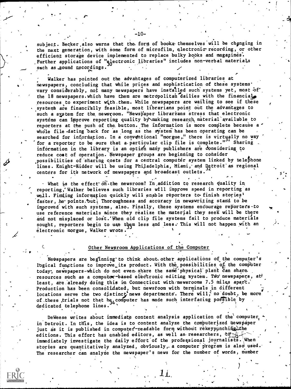subject. Becker also warns that the form of books themselves will be changing in the next generation, with some form of microfilm, electronic-recording, or other efficient storage device implemented to replace bulky books and magazines. Further applications of "slectronic libraries" includes non-verbal materials such as sound recordings.

-10--

r

Ir

Walker has pointed out the advahtages of computerized libraries at newspapers, concluding that while prices and sophistication of these systems' vary considerably, not many newspapers have installed such systems yet, most of the 18 newspapers.which have them are metropolitan dailies with the financial resources to experiment wi,th.them. While newspapers are waiting to see if these systems are financially feasible, most librarians point out the advantages to such a system for the newsroom. "Newspaper librarrans stress that electronic systems can improve reporting quality by\making research material available to reporters at the push of the button. The information is more complete because a whole file dating back for as long as the system has been operating can be searched for information. In a conventional "morgue," there is virtually no way '' 'for a reporter to be eure that a-particular clip file is complete." Sharing , information in the library is an option many publishers are considering to reduce cost of operation. Newspaper groups are beginning to consider possibilities of sharing costs for a central computer system linked by telephone lines. Knight-Ridder will be using Philadelphia, Miami, and Detroit as regional centers for its network of newspapers and broadcast outlets.

 $\cdot$  What is the effect on the newsroom? In addition to research quality in reporting," Walker believes such libraries will improve speed in reporting as well. Finding information quickly will enable reporters to finish stories<sup>1</sup> faster, he points. out Thoroughness and accuracy in newswriting stand to be improved with such systems, also. Finally, these systems encourage reporters-to use reference materials since they realize the material they seek will be there and not misplaced or lost.'When old clip file systems fail to produce materials sought, reporters begin to use them less and less. This will not happen with an electronic morgue, Walker wrote.

. .

,

# Other Newsroom Applications of the Computer

, ,

Newspapers are beginning to think about other applications of the computer's logical functions to improve its product. With the possibilities of the computer today, newspapers-which do not even share the same physical plant can share. resources such as a computer-based electronic editing system. Two newspapers, at! least, are already doing this in Connecticut with newsrooms 7.5 miles apart.' Production has been consolidated, but newsroom with terminals in different  $\frac{1}{2}$ locations serve the two distinct news departments. There will, no doubt, be more  $\cdots$ of these trials not that  $he_{34}$  computer has made such interfacing possible by dedicated telephone lines.

DeWeese writes about immediate content analysis application of the computer, in Detroit. In this, the idea is to content analyze the computerized newspaper just as it is published in computer-readable form without rekeypynching. the editions. This effort has enabled editors, as well as researchers, to  $\leq$ . immediately investigate the daily effort of the professional journalists. When stories are quantitatively analyzed, obviously, a computer program is also used. The researcher can analyze the newspaper's news for the number of words, number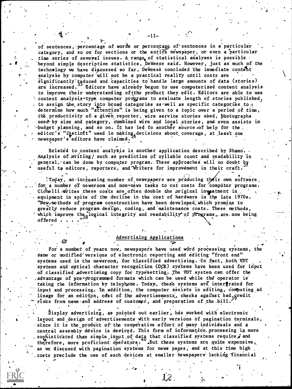of sentences, percentage of words or percentage of sentences in a particular category, and so on for sections or the entire newspaper, or even a particular time series of several issues. A range of statistical analyses is possible beyond simple descriptive statistics, DeWeese said. However, just as much of the technology we have discussed so far, DeWeese concluded the immediate content analysis by computer will not be a practical reality until costs are significantly teduced and capacities to handle large amounts of data (stories) are increased. Editors have already begun to use computerized content analysis to improve their understanding of the product they edit. Editors are able to use content analysis-type computer programs to evaluate length of stories published, to assign the story into broad categories as well as specific categories to x determine how much "attention" is being given to a topic over a period of time, the productivity of a given reporter, wire service stories used, photographs used by size and category, combined wire and local stories, and even assists in whudget planning, and so on. It has led to another source of help for the. editor's "instinct" used in making decisions about coverage, at least one newspaper's editors have claimed.

-11–

Related to content analysis is another application described by Shamo. Analysis of writing, such as prediction of syllable count and readability in general, can be done by computer program. These approaches will no doubt by useful to editors, reporters, and Writers for improvement in their craft.

today, an increasing number of newspapers are producing their own software. for a number of newsroom and non-news tasks to cut costs for computer programs. Cichelli  $\pi$ rites these costs are often double the original investment in. equipment in spite of the decline in the cost of hardware in the late 1970s. "New, methods of program construction have been developed which promise to greatly reduce program design, coding, and maintenance costs. These methods, which improve the logical integrity and readability of programs, are now being offered.

#### Advertising Applications

For a number of years now, newspapers have used word processing systems, the same or modified versions of electronic reporting and editing "front end" systems used in the newsroom, for classified advertising. In fact, both VDT systems and optical character recognition (DCR) systems have been used for input of classified advertising copy for typesetting. The VDT system can offer the advantage of pre-programmed formats which can be used while the operator is taking the information by telephone. Today, these systems are intergrated for input and processing. In addition, the computer assists in editing, computing ad linage for an edition, cost of the advertisements, checks against bad, gredit risks from name and address of customer, and preparation of the bill.

Display advertising, as pointed out earlier, has worked with electronic layout and design of advertisements with early versions of pagination terminals, since it is the product of the cooperative effort of many individuals and a central assembly device is desired. This form of information processing is more sophisticated than simple input of data that classified systems require, and therefore, more proficient operators: . But these systems are quite expensive, as we discused with pagination systems for news pages, and at this time high costs preclude the use of such devices at smaller hewspapers lacking financial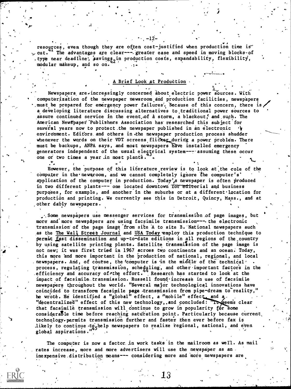resources, even though they are often cost-justified when production time is" The advantages are clear--- greater ease and speed in moving blocks.of  $\sim$  cut. type near deadline, savingg, in production costs, expandability, flexibility, modular makeup, and so on.

### A Brief Look at Production

Newspapers are-increasingly concerned about electric power sources. With computerization of the newspaper newsroom and production facilities, newspapers must be prepared for emergency power failures. Because of this concern, there is, a developing literature discussing alternatives to traditional power sources to assure continued service in the event, of à storm, a blackout, and such. The American Newspaper Publishers Association has researched this subject for several years now to protect the newspaper published in an electronic  $\mathbf{r}$ environment. Editors and others in the newspaper production process shudder whenever the words on their VDT screens flicker during a power problem. There must be backups, ANPA says, and most newspapers have installed emergency generators independent of the usual electrical system--- assuming these occur one or two times a year in most plants.

However, the purpose of this literature review is to look at the role of the computer in the newsroom, and we cannot completely ignore the computer's' application of the computer in production. Today's newspaper is often produced in two different plants--- one located downtown for editorial and business purposes, for example, and another in the suburbs or at a different location for production and printing. We currently see this in Detroit, Quincy, Mass., and at other darly newspapers.

. Some newspapers use messenger services for transmission of page images, but more and more newspapers are using facsimile transmission---- the electronic transmission of the page image from site A to site B. National newspapers such as the The Wall Street Journal and USA Today employ this production technique to permit fast dissemination and up-to-date editions in all regions of the country by using satellite printing plants. Satellite transmission of the page image is not new; it was first tried in 1967 across two continents and an ocean. Today, this more and more important in the production of national, regional, and local newspapers. And, of course, the computer is in the middle of the technical'. process, regulating transmission, scheduling, and other important factors in the efficiency and accuracy of the effort. Research has started to look at the impact of facsimile transmission. Russell found increase in use of facsimile newspapers throughout the world. "Several major technological innovations have coincided to transform facsimile page transmission from pipe-dream to reality," he wrote, He identified a "global" effect, a "mobile" effect, and a "decentralized" effect of this new technology, and concluded: "It geems clear that facsimile transmission will continue to grow in popularity for some considerable time before reaching saturation point. Particularly because current, technology-permits transmission further and faster then ever before fax is likely to continue to shelp newspapers to realize regional, national, and even global aspirations."

The computer is now a factor in work tasks in the mailroom as well. As mail rates increase, more and more advertisers will use the newspaper as an inexpensive distribution means--- considering more and more newspapers are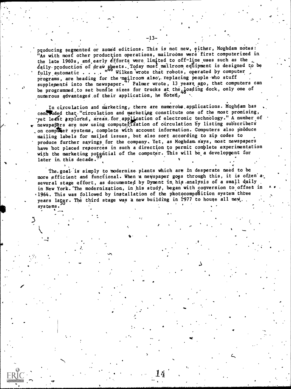producing segmented or zoned editions. This is not new, either, Moghdam notes: "As with most other production operations, mailrooms were first computerized in the late 1960s, and early efforts were limited to off-line uses such as the daily production of draw sheets. Today most mailroom equipment is designed to be fully automatic . . . . " Wilken wrote that robots, operated by computer , programs, are heading for the mailroom also, replacing people who stuff supplements into the newspaper." Palmer wrote, 13 years ago, that computers can be programmed to set bundle sizes for trucks at the  $_{48}$ oading dock, only one of numerous advantages of their application, he noted,

In circulation and marketing, there are numerous applications. Moghdam has concluded that. "circulation and marketing constitute one of the most promising, yet least explored, areas for application of electronic technology." A number of newspapers are now using computerTzation of circulation by listing subscribers on compléter systems, complete with account information. Computers also produce mailing labels for mailed issues, but also sort according to zip codes to produce further sayings for the company. Yet, as Moghdam. says, most newspapers have hot placed resources in such a direction to permit complete experimentation with the marketing potgnitial of the computer. This will be a development for later in. this decade.

The.goal is simply to modernize plants which are in desperate need to be more efficient and functional. When a newspaper goes through this, it is often a. several stage effort, as documented by Dyment in his analysis of a small daily in New York. The modernization, in his study, began with conversion to offset in .1964. This was followed by installation of the photocomposition system three years latgr. The third stage was a new building in 1977 to house all new. systems. The contract of the contract of the contract of the contract of the contract of the contract of the contract of the contract of the contract of the contract of the contract of the contract of the contract of the c

."

 $\overline{a}$ 

t

1.

.r

w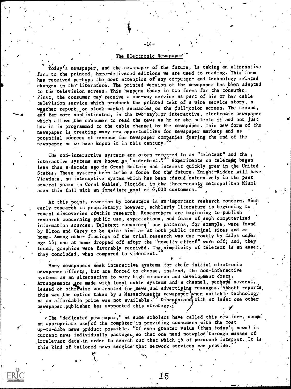## The Electronic Newspaper"

-14-

 $\sum_{i=1}^{n}$ 

I.

 $\bullet$  and  $\bullet$ 

 $\frac{V_{\rm{max}}}{\sqrt{2\pi}}$ 

.

Today's newspaper, and the newspaper of the future, is taking an alternative form to the printed, home-delivered editions we are used to reading. This form has received perhaps the most attention of any computer- and technology related changes in the literature. The printed version of the newspaper has been adapted to the television screen. This happens today in two forms for the consumer. First, the consumer may receive a one-way service as.part of his or her cable television service which produce's the printed text of a wire service story, a weather report, or stock market summaries on the full-color screen. The second, and far more sophisticated, is the two-way, or interactive, electronic newspaper which allows, the consumer to read the news as he or she selects it and not just how it is programmed to the cable channel by the newspaper. This new form of the newspaper is creating many new opportunities for newspaper markets and as potential sources of revenue for newspaper companies fearing the end of the newspaper as we have known it in this century.

The non-interactive systems are often referred to as "teletext" and the  $,$ interactive systems are known as "videotext." Experiments on teletett began less than a decade ago in Great Britain and interest quickly grew in the United States. These systems seem to be a force for the future. Knight-Ridder will have Viewdata, an interactive system which has been tested.extensively in the past several years in Coral Gables, Florida, in the three-county metropolitan Miami area this fall with an immediate goal of 5,000 customers.

At this point, reaction by consumers is an important research concern. Much early research is proprietary; however, scholarly literature is beginning to reveal discoveries of this research. Researchers are beginning to publish research concerning public use, expectations, and fears of such computerized information sources. Teletext consumera' use patterns, for example, were found<br>by Elton and Carey to be quite similar at both public terminal sites and at home. Among other findings of the trial, research was ube mostly by males under age 45; use at home dropped off after the "novelty effect" wore off; and, they found, graphics were favorably received. The simplicity of teletext is an asset, they concluded, when compared to videotext.

,Many newspapers seek interactive systems for their initial electronic newspaper efforts, but are forced to choose, instead, the non-interactive systems as an alternative to very high research and development costs. Arrangements are made with local cable systems and a channel, perhaps several, leased or otherwise contracted for news and advertising messages. Abbott reports, this was the option taken by a Massachusetts newspaper when suitable technology at an affordable price was not available. Discugsions with at least one other newspaper.publisher has supported this strategy. $\tilde{L}$ 

. The "dedicated newspaper," as some scholars have called this new form, seems an appropriate use of the computer' in providing consumers with the most up-to-date news product possible. "Of even greater value (than today's news) is current news individually packaged so that one need not plod through masses of irrelevant data in order to search out that which is of personal integest. It is this kind of tailored news service that network services can provide.

4.

 $15\,$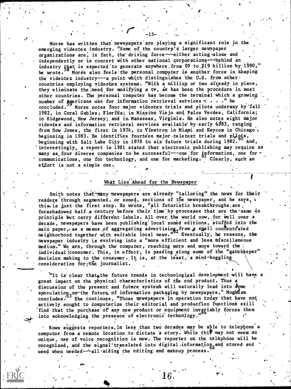Morse has written that newspapers are playing a significant role in the emerging videotex industry. "Some of the country's larger newspaper organizations are, in fact, the driving force---either acting alone and independently or in concert with other national corporations---behind an, industry that is expected to generate anywhere from \$9 to \$19 billion by 1990," he wrote.<sup>10</sup> Morse also feels the personal computer is another force in shaping the videotex industry---a point which distinguishes the U.S. from other . countries employing videotex systems. "With a million or two already in place, they eliminate the need for modifying a tv, as has been the procedure in most other countries. The personal computer has become the terminal which a growing number of  $\sum_{i=1}^{\infty}$  mericans use for information retrieval services  $\cdot$  . . . " he concluded. Morse notes four major videotex trials and pilots underway Morse notes four major videotex trials and pilots underway by fall 1982, in Coral Gables; Florida; in Mission Viejo and Palos Verdes, California; in Ridgewood, New Jersey; and in Manassas, Virginia. He also notes eight major videotex and information retrieval services available by early  $1983$ , ranging from Dow Jones, the first in 1974, to Viewtron in Miami and Keycom in Chicago. beginning in 1983. He identifies fourteen major teletext trials and pilots,<br>beginning with Salt Lake City in 1978 to six future trials during 1982. And, beginning with Salt Lake City in 1978 to six future trials during 1982. 'interestingly, a report in 1981 stated that electronic publishing may require as many as four diverse companies to be successful---one for information, one for<br>communications, one for technology, and one for marketing. Clearly, such an communications, one for technology, and one for marketing. effort is not a simple one.

## What Lies Ahead for the Newspaper

Smith notes that-many newspapers are already "tailoring" the news for their readers through segmented, or zoned, sections of the newspaper, and he says, \ thiseis iust-the first step. He wrote, "all futuristic breakthroughs,are, foreshadowed half a century before their time by processes that are the same in principle but carry different labels. All over the world now, for well over a decade, newspapers have been puhlishing'local zoned editions, stuffed into the main paper, as a means of aggregating advertising, from a small concentrated neighborhood together with suitable local news.'' Eventually', he reasons, the newspaper industry is evolving into a "more efficient and less miscellaneous medium." We are, through the computer, reaching more and more toward the individual consumer. This, in effect, is passing along some of the "gatekeeper" decision making to the consumer. It is, at the least, a mind-boggling consideration for  $\tau$  he journalist. . ,

"It is clear that.the future trends in technological development will have a great impact on the physical characteristics of the end product. Thus a speculatiop, on the future of information packaging by newspapers," Moghdam discussion of the present and future systems will naturally lead into some concludes. She continues, "Those newspapers in operation today that have not actively sought to computerize their editorial and production functions still find that the purchase of any new product or equipment invariably forces them into acknowledging the presence of electronic technology.'

 $\bullet$  later  $\mathcal{N}$  is a set of  $\mathcal{N}$ 

Ike

Rowe suggests reporters. in less than two decades may be able to telephone a computer from a remote location to dictate a story. While this may not seem so unique, use of voice recognition is new. The reporter on the telephone will be recognized, and the signal translated into digital information<sub>s</sub> and stored and used when needed---all aiding the editing and makeup process.

10.1. ..

,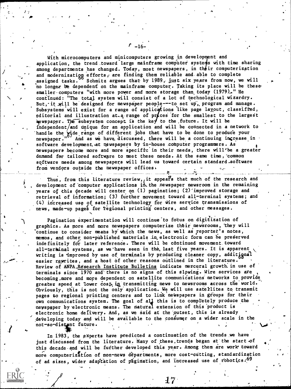With microcomputers and minicomputers growing in development and application, the trend toward large mainframe computer systems with time sharing among departments has changed. Today, most newspapers, in their computerization and modernization efforts, are finding them reliable and able to complete assigned tasks. Schmitz argues that by 1989, just six years from now, we will a no longer be dependent on the mainframe computer. Taking its place will be thesesmaller computers "with more power and more storage than today (1979)." He continued: "The total system will consist of a lot of technological wizardry. But, it will be designed for newspaper people---to set up, program and manage. Subsystems will exist for a range of applications like page layout, classified, editorial and illustration at a range of prices for the smallest to the largest hewspaper. The subsystem concept is the key to the future. It will be independent/and unique for an application and will be connected in a network to handle the gide range of different jobs that have to be done to produce your newspaper." And as we have discussed, there will be a continuing increase in software development. at newspapers by in-house computer programmers. As newspapers become more and more specific'in their needs, there will'be a greater demand for tailored software to meet these needs. At the same time, common software needs among newspapers will lead us toward certain standard software from vendors outside the newspaper offices.

Thus, from this literature review, it appears that much of the research and development of computer applications in the newspaper newsroom in the remaining years of this decade will center on  $(1)$  pagination;  $(2)$  improved storage and retrieval of information; (3) further movement toward all-terminal systems; and (4) increased use of satellite technology for wire service transmissions of news, made-up pages for regional printing centers, and other messages.

Pagination experimentation will continue to fotus on digitization of graphics. As more and more newspapers computerize their newsrooms, they will continue to consider means by'which the news, as well as reporter's notes, memos, and other non-published materials in electronic form can be preserved indefinitely for later reference. There will be continued movement. toward all-terminal systems, as we have seen in the, last five years. It is apparent writing is improved by use of terminals by producing cleaner copy, additignal easier rgyrites, and a host of other reasons outlined in the literature. Review of ANPA Research Institute Bulletins indicate mercural growth in use of terminals since 1970 and there is no signs of this slowing. Wire services are becoming,more and more dependent on satellite communications networks to provide greater speed at lower cost in transmitting news to newsrooms across the world. Obviously, this is not the only application. We will use satellites to transmit pages to regional printing centers and to link newspapers in groups for their own communications system. The goal of all this is to completely produce the newspaper by electronic means. The natural extension of this product is electronic home defivery. And, as we said at the outset, this is already developing today and will be available to the consumer on a wider scale in the not-so-distant future.

In 1983, the experts have predicted a continuation of the trends we have just discussed from the literature. Many of these, trends began at the start of this decade and will be further developed this year. Among them are work toward more computerization of non-news departments, more cost-cutting, standardization and reof ad sizes, wider adaptation of pagination, and increased use of robotics.<sup>69</sup>

 $5 - 16 -$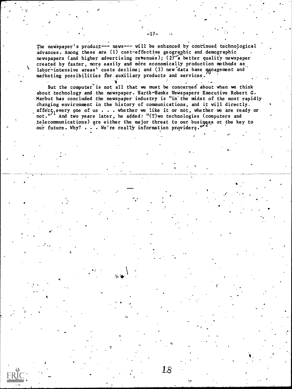The newspaper's product--- news--- will be enhanced by continued technological advances. Among these are (1) cost-effective geographic and demographic newspapers (and higher advertising revenues); (2) a better quality newspaper created by faster, more easily and more economically production methods as labor-intensive areas' costs decline; and (3) new data base management and marketing possibilities for auxiliary products and services.

 $-17-$ 

But the computer is not all that we must be concerned about when we think about technology and the newspaper. Harte-Hanks Newspapers Executive Robert G. Marbut has concluded the newspaper industry is "in the midst of the most rapidly changing environment in the history of communications, and it will directly. affect, every one of us . . . whether we like it or not, whether we are ready or not."<sup>71</sup> And two years later, he added: "(T) wo technologies (computers and telecommunications) are either the major threat to our business or the key to our future. Why? . . . We're really information providers.

18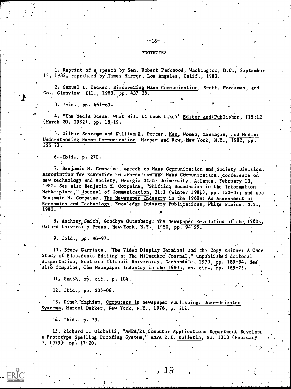#### -FOOTNOTES

.-18-

1. Reprint of a speech by Sen. Robert Packwood, Washington, D.C., September 13, 1982, reprinted by Times Mirror, Los Angeles, Calif., 1982.

2. Samuel L. Becker, Discovering Mass Communication, Scott, Foresman, and Co., Glenview, Ill., 1983, pp. 437-38.

3. Ibid., pp. 461-63.

4. "The Media Scene: What Will It Look Like?" Editor and/Publisher, I15:12 (March 20, 1982), pp. 18-19.

5. Wilbur Schramm and William E. Porter, Men, Women, Messages, and Media: Understanding Human Communication, Harper and Row, New York, N.Y., 1982, pp.  $266 - 70.$ 

6.-Ibid., p. 270.

7. Benjamin M. Compaine, speech to Mass Communication and Society Division, Association for Education in Journalism and Mass Communication, conference on new technology and -society, Georgia State Univetsity, Atlanta, February 13, 1982. See also Benjamin M. Compaine, "Shifting Boundaries in the Information Matketplace," Journal of Communication, 31:1 (Winter 1981), pp. 132-37; and see Benjamin M. Compaine, The Newspaper Industry in the 1980s: An Assessment-of Economics and Technology, Knowledge Industry Publications, White Plains, N.Y., 1980.

8. Anthony, Smith, Goodbye Gutenberg: The Newspaper Revolution of the 1980s, Oxford University Press, New York, N.Y., 1980, pp. 94-95.

9. Ibid., pp. 96-97.

10. Btuce Garrison,,"The Video Display Terminal and the Copy Editor: A Case Study of Electronic Editing'at The Milwaukee' Journal," unpublished doctoral dissertation, Southern Illinois University, Carbondale, 1979, pp. 189-94. See also Compaine, The Newspaper Industry in the 1980s, op. cit., pp. 169-73.

ll, Smith, op. cit., p. 104.

12. Ibid., pp. 205-06.

13. Dineh Moghdam, Computers in Newspaper Publishing: User-Oriented Systems, Marcel Dekker, New York, N.Y., 1978, p. iii.

14. Ibid., p. 73.

 $\sigma$  and  $\sigma$ 

15. Richard J. Cichelli, "ANPA/RI Computer Applications Department Develops a Prototype Spelling-Proofing System," ANPA R.I. Bulletin, No. 1313 (February 9, 1979), pp. 17-20.

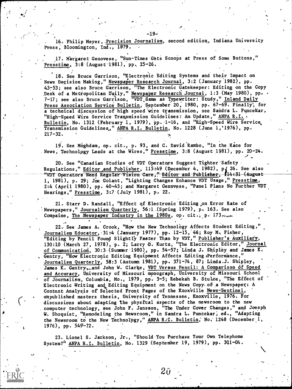16. Philip Meyer, Precision Journalism, second edition, Indiana University Press, Bloomington, Ind., 1979.

17. Margaret Genovese, "Sun-Times Gets Scoops at Press of Some Buttons," Presstime, 3:8 (August-1981), pp. 25-26.

18. See Bruce Garrison, "Electronic Editing Systems and their Impact on News Decision Making," Newspaper Research Journal, 3:2 (January 1982), pp. 43-53; see also Bruce Garrison, "The Electronic Gatekeeper: Editing on the Copy Desk of a Metropolitan Daily," Newspaper Research Journal, 1:3 (May 1980), pp. . 7-17; see also Bruce Garrison, "VDT Same as Typewriter: Study," <u>Inland Daily</u> Press Association Service Bulletin, September 20, 1980, pp. 67-69. Finally, for a technical discussion of high speed wire transmission, see Sandra L. Puncekar, "Higb-Speed Wire Service Transmission Guidelines: Am Update," ANPA R.I. . Bulletin, No. 1312 (February 1, 1979), pp. 1-16, and "High-Speed Wire Service, Transmission Guidelines," ANPA R.I. Bulletin, No. 1228 (June 1,'1976), pp.  $217 - 32.$ 

19. See Moghdam, op. cit., p. 93, and C. David Rambo, "In the Race for News, Technolpgy Leads at the Wires," Presstime, 3:8 (August 1981), pp. 20-24.

20. See "Canadian Studies of VDT Operators Suggest Tighter'Safety Regulations," Editor and Publisher, 115:49 (December 4, 1982), p 26. See also "VDT Operators Need Regular Vision Care," Editor and Publisher, 114:31 (August I, 1981), p. 29; Joe Golant, "Lighting Changes Enhance VDT Usage," Presstime, 2:4 (April 1980), pp. 40-43; and Margaret Genovese, "Panel Plans No Further VDT Hearings," Presstime, 3:7 (July 1981), p. 22.

21. Starr D. Randall, "Effect of Electronic'Editing,on Error Rate of Aiewspapers," Journalism Quarterly, 56:1.(Spring 1979), p. 163. See also Compaine, The Newspaper Industry in the 1980s, op. cit.; p. 173 $\ldots$ 

 $\ddot{\bullet}$   $\ddot{\bullet}$ 

22. See James A. Crook, "How the New Technology Affects Student Editing," Journalism Educator, 31:4 (January 1977), pp. 12-15, 46; Roy M. Fisher, "Editing by Pencil Found Slightly Faster Than by VDT," Publisher's Auxiliary, 130:10 (March 27, 1978), p. 2; Larry D. Kurtz, "The Electronic Editor," Journal of Communication, 30:3 (Summer 1980), pp. 54-57; Linda J. Shipley and James K. Gentry, "How Electronic Editing Equipment Affects Editing Performance," Journalism Quarterly, 58:3 (Autumn 1981), pp. 371-74, 87; Linda.J. Shipley, James K. Gentry<sub>3</sub>, and John W. Clarke, VDT Versus Pencil: A Comparison of Speed and Accuracy, University of Missouri monograph, University of Missouri School of Journalism, Columbia, Mo., 1979, pp. 3-5; Rebekah B. Stulce, "The Effect of Electronic Writing and Editing Equipment on the News Copy,of.a Newspaper: A Content Analysis of Selected Front Pages of the Knoxville News-Sentinel, unpublished masters thesis, University of Tennessee, Knoxville, 1976. For discussions about adapting the physital aspects of the newsroom to the new computer technology, see John F. Jansson, "The Under Cover Changes," and Joesph W. Shoquist, "Remodeling the Newsroom," in Sandra L. Puncekar, ed., "Adapting the Newsroom to the New Technology," ANPA R.I. Bulletin, No. 1248 (December 1, 1976), pp. 549-72.

23. Lionel S. Jackson, Jr., "Should You Purchase Your Own Telephone System?<sup>i</sup>' ANPA R.I. Bulletin, No. 1329 (September 19, 1979), pp. 301-04.

 $2\hat{v}$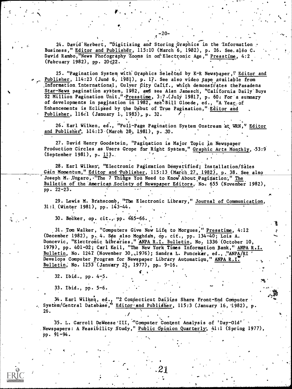24. David Herbert, "Digitizing and Storing Graphics in the Information Business," Editor and Publisher, 115:10 (March 6, 1982), p. 26. See. also C. David Rambo, "News Photography Zooms in on' Electronic Age," Presstime, 4:2 (February 1982), pp. 20:22.

25. "Pagination System with Graphics Selected by K-R Newspaper," Editor and Publisher, 114:23 (June 6, 1981), p. 17. See also video tape available from Information International, Culver City Calif., which demonstrates the Pasadena Star-News pagination system, 1982, and see Alan Janesch, "California Daily Buys \$2 Million Pagination Unit," Presstime, 3:7. (July 1981), p. 60: For a summary of developments in pagination in 1982, see Bill Gloede, ed., "A Year of Enhancements is Eclipsed by the Debut of True Pagination," Editor and Publisher, 116.1 (January 1, 1983), p. 32.

26. Earl Wilken, ed., "Full-Page Pagination System Onstream at WRN," Editor and Publisher, 14:13 (March 28, 1981), p. 30.

27. David Henry Goodstein, "Pagination is Major Topic in Newspaper Production Circles as Users Grope for Right System," Graphic Arts Monthly, 53:9 (September 1981), p. 113.

28. Earl Wilken, "Electronic Pagination Demystified; Installation/Sales Gain Momentum," Editor and Publisher, 115:13 (March 27, 1982), p. 38. See also Joseph M. Ungaro, "The 7 Things You Need to Know About Pagination," The Bulletin of the American Society of Newspaper Editors, No. 655 (November 1982),  $pp. 22 - 23.$ 

29. Lewis M. Branscomb, "The Electronic Library," Journal of Communication  $31:1$  (Winter 1981), pp. 143-44.

30. Becker, op. cit., pp. 465-66.

31. Tom Walker, "Computers Give New Life to Morgues," Presstime, 4:12 (December 1982), p. 4. Sée also Moghdam, op. cit., pp. 134-40; Lois A. Doncevic, "Electronic bibraries," ANPA R.I. Bulletin, No. 1336 (October 10, 1979), pp. 401-02; Carl Keil, "The New York Times Information Bank," ANPA R.I. Bulletin, No. 1247 (November 30, 1976); Sandra L. Puncekar, ed., "ANPA/RI Develops Computer Program for Newspaper Library Automation," ANPA R.I. Bulletin, No. 1253 (January 25, 1977), pp. 9-16.

32. Ibid., pp. 4-5.

33. Ibid., pp. 5-6.

34. Earl Wilken, ed., "2 Connecticut Dailies Share Front-End Computer<br>System/Central Database," Editor and Publisher, 115:3 (January 16, 1982), p. 26.

35. L. Carroll DeWeese III, "Computer Content Analysis of 'Day-Old' . Newspapers: A Feasibility Study," Public Opinion Quarterly; 41:1 (Spring 1977), pp. 91-94.

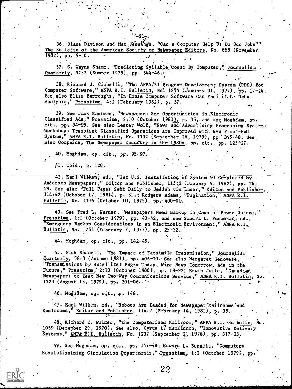36. Diane Davison and Max Jenning's, "Can a Computer Help Us Do Our Jobs?" The Bulletin of the American Society of Newspaper Editors, No. 655 (November 1982), pp. 9-10.

u

e.

37. G. Wayne Shamo, "Predicting Syllable. Count By Computer," Journalism Quarterly, 52:2 (Summer 1975), pp. 344-46.

38. Richard J. Cichelli, "Tbe ANPA/RI'Program Development System ,(PDS) for Computer Software," ANPA R.I. Bulletin, No. 1254 (January 31, 1977), pp. 17-24. See, also Elise Burroughs; "In-House Computer Software Can Facilitate Data Analysis," Presstime, 4:2 (February 1982), p. 37. 11,

39. See Jack Kaufman, "Newspapers See Opportunities in Electronic Classified Ads," Presstime, 2:10 (October 1980), p. 35, and see Moghdam, op. cit., pp. 94-95. See also Lester Wolf, "News and'Advertising Processing Systems Workshop: Transient Classified Operations are Improved with New Front-End System," ANPA R.I. Bulletin, No. 1332 (September 26, 1979), pp. 345-48. See also Compaine, The Newspaper Industry in the 1980s, op. cit., pp. 125-27.

40. Moghdam, op. cit., pg. 95-97.

Al. Ibid., p. 120.

Earl Wilken, ed., "Ist U.S. Installation of System 90 Completed by Anderson Newspapers," <u>Editor and Publisher</u>, 115:2 (January 9, 1982), pp. 26, . • 28. See also "Full Pages Sent Daily to Jeddah via Laser," <u>Editor and Publisher</u>, 114:42 (October 17, 1981), p. 31.; Rodgers Adams, "Pagination," ANPA R.I. Bulletin, No. 1336 (October 10, 1979), pp. 400-01.

43. See Fred L. Warner, "Newspapers Need, Backup in Case of Power Outage, Presstime, 1:1 (October 1979), pp. 40-42, and see Sandra L. Puncekar, ed., "Emergency Backup Considerations in an Electronic Environment," ANPA R.I. Bulletin, No. 1255 (February 7, 1977), pp. 25-32.

44. Moghdam, op. cit., pp. 142-45.

45: Nick Russell, "The Impact of Facsimile Transmission," Journalism Quarterly, 58:3 (Autumn 1,981), pp. 406-10.'See also Margaret Genovese, "Transmissions by Satellite: Pages Today, Wire News Tomorrow, Ads in the Future," Presstime, 2:10 (October 1980), pp. 18-22; Erwin Jaffe, "Canadian Newspapers to Test New Two-Way Communications Service," ANPA R.I. Bulletin, No. 1323 (August 13, 1979), pp. 201-06...

46. Moghdam, op. cit., .p. 146.

. . . '47. Earl Wilken, ed., "Robots Are Headed for Newspoper Mailrooms and Reelrooms," Editor and Publisher, 114:7 (February 14, 1981), p. 35.

48. Richard E. Palmer, "The Computerized Mailroom," ANPA R.I. Bulietin, No. 1039 (December 29, 1970). See also, Cyrus L. MacKinnon, "Innovative Delivery Systems," **ANPA K.I. Bulletin**, No. 1237 (September 2, 1976), pp. 317-23.

49. See Moghdam, op; cit., pp. 147-48; Edward L. Bennett, "Computers Revolutionizing Circulation Departments," Presstime, 1:1 (October 1979), pp.

22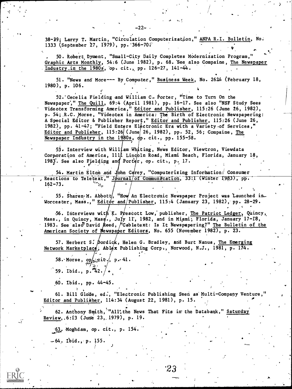38-39; Larry T. Martin, "Circulation Computerization," ANPA R.I. Bulletin, No. 1333 (September 27, 1979), pp. 366-702

 $-22-$ 

50. Robert Dyment, "Small-City Daily Completes Modernization Program, Graphic Arts Monthly, 54:6 (June 1982), p. 68. See also Compaine, The Newspaper Industry.in the 1980s, op. cit., pp. 126-27, 141-44.

51. "News and More--- By Computer," Business Week, No. 2624 (February 18, 1980), p. 106.

52. Cecelia Fielding and William C. Porter, "Time to Turn On the Newspaper," The Quill, 69:4 (April 1981), pp. 16-17. See also "NSF Study Sees Videotex Transforming America," Editor and Publisher, 115:26 (June 26, 1982), p. 54; R.C. Morse, "Videotex in America: The Birth of Electronic Newspapering: A Special Editor & Publisher Report," Editor and Publisher, 115:26 (June 26, 1982), pp. 41-47; "Field Enters Electronic Era with a Variety of Services," Editor and Publisher,  $115:26$  (June 26, 1982), pp. 52, 56; Compaine, The Newspaper Industry in the 1980s, dp. cit., pp. 155-58.

53. Interview with William Whiting, News Editor, Viewtron, Viewdata Corporation of America, 111 Lincoln Road, Miami Beach, Florida, January 18, 1983. See also Fielding and Porter, op. cit., p. 17.

54. Martin Elton and John Carey, "Computerizing Information: Consumer Reactions to Teletext," Journal/of Communication, 33:1 (Winter 1983), pp.  $162 - 73.$ 

55. Sharen M. Abbott, "How An Electronic Newspaper Project was Launched in. Worcester, Mass.," Editor and/Publisher, 115:4 (January 23, 1982), pp. 28-29.

56. Interviews with K. Prescott Low, publisher, The Patriot Ledger, Quincy, Mass., in Quincy, Mass., July 11, 1982, and in Miami; Florida, January 17-18, 1983. See also David Reed, "Cabletext: Is It Newspapering?" The Bulletin of the American Society of Mewspaper Editors, No. 655 (November 1982), p. 23.

57. Herbert S. Dordick, Helen G. Bradley, and Burt Nanus, The Emerging Network Marketplace, Ablex Publishing Corp., Norwood, N.J., 1981, p. 174.

58. Morse,  $op_{x,y}$ cit.,  $p - 41$ .

59. Ibid., p.  $42. / 4$ 

60. Ibid., pp. 44-45.

61. Bill Glode, ed., "Electronic Publishing Seen as Multi-Company Venture," Editor and Publisher, 114:34 (August 22, 1981), p. 15.

62. Anthony Smith, "All'the News That Fits in the Databank," Saturday Review, 6:13 (June 23, 1979), p. 19.

 $-63$ . Moghdam, op. cit., p. 154.

-64. Ibid., p. 155.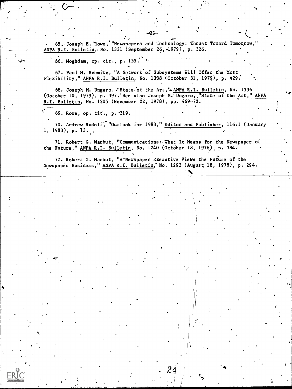65. Joseph E. Rowe, "Newspapers and Technology: Thrust Toward Tomorrow," where ANPA R.I. Bu<u>lletin</u>, No. 1331 (September 26,-1979), p. 326.

.00101.,

,

(,

 $\blacksquare$ 

 $\bullet$   $\bullet$ 

,<br>,<br>,

66. Moghdam, op. cit., p.  $155.$   $\sim$ 

 $\zeta$  -  $\zeta$  -  $\zeta$ 

r I

67. Paul M. Schmitz, "A Network of Subsystems Will Offer the Most Flexibility," ANPA R.I. Bulletin, No. 1338 (October 31, 1979), p. 429.

 $\mathcal{L} = \{ \mathcal{L} \}$ 

68. Joseph M. Ungaro, ."State of the Art," ANPA R.I. Bulletin, No. 1336 (October 10, 1979), p. 397. See also Joseph M. Ungaro, "State of the Art," ANPA ware assembly a state of  $\sim$ R.I. Bulletin, No. 1305 (November 22, 1978), pp. 469-72. 68. Joseph M. Ungaro,<br>October 10, 1979), p. 39<br>I. Bulletin, No. 1305 (

69. Rowe, op. cit., p. 319.

70. Andrew Radolf, "Outlook for 1983," Editor and Publisher, 116:1 (January 1, 1983), p. 13.

71. Robert G. Marbut, "Communications: What It Means for the Newspaper of the Future," ANPA R.I. Bulletin, No. 1240 (October 18, 1976), p. 384.

72. Robert G. Marbut, "A Newspaper Executive Views the Future of the Newspaper Business," ANPA R.I. Bulletin, No. 1293 (August 18, 1978), p. 294.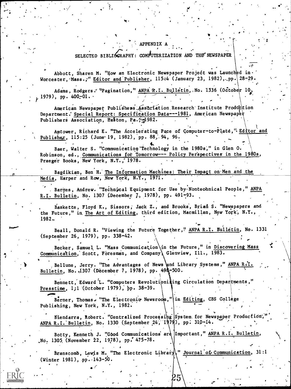## **APPENDIX**

## SELECTED BIBLIGGRAPHY: COMPUTERIZATION AND THE NEWSPAPER

Abbott, Sharen M. "How an Electronic Newspaper Project was Launched in Worcester, Mass.," Editor and Publisher, 115:4 (January 23, 1982), pp. 28-29.

Adams, Rodgers. "Pagination," ANPA R.I. Bulletin, No. 1336 (October 10,  $_L$  1979), pp. 400-01.

American Newspapet Publishers Association Research Institute Production Department. Special Report: Specification Data---1981, American Newspaper Publishers Association, Easton, Pa. 124982.

Amtower, Richard E. "The Accelerating Pace of Computer-to-Plate," Editor and Publisher, 115:25 (June 19, 1982), pp. 88, 94, 96.

Baer, Walter S. "Communication Technology in the 1980s," in Glen O. Robinson, ed., Communications for Tomorrow--- Policy Perspectives in the 1980s, Praeger Books, New York, N.Y., 1978.

Bagdikian, Ben H. The Information Machines: Their Impact on Men and the Media, Harper and Row, New York, N.Y., 1971.

Barnes, Andrew. "Technical Equipment for Use by Nontechnical People," ANPA R.I. Bulletin, No. 1307 (December 7, 1978), pp. 491-93.

Baskette, Floyd K., Sissors, Jack Z., and Brooks, Brian S. "Newspapers and the Future," in The Art of Editing, third edition, Macmillan, New York, N.Y., 1982.

Beall, Donald R. "Viewing the Future Together," ANPA R.I. Bulletin, No. 1331 (September 26, 1979), pp. 338-42.

Becker, Samuel L. "Mass Communication in the Future," in Discovering Mass Communication, Scott, Foresman, and Company, Glenview, Ill., 1983.

Bellune, Jerry. "The Advantages of News and Library Systems," ANPA R.I. Bulletin, No. (1307 (December 7, 1978), pp. 49&-500.

Bennett, Edward L. "Computers Revolutioniaing Circulation Departments," Presstime, 1;1 (October 1979), pp. 38-39.

Berner, Thomas. "The Electronic Newsroom, "in Editing, CBS College Publishing, New York, N.Y., 1982.

Biendarra, Robert. "Centralized Processing System for Newspaper Production, ANPA R.I. Bulletin, No. 1330 (September 24, 1979), pp. 310-14.

Botty, Kenneth J. "Good Communications are Important," ANPA R.I. Bulletin, No. 1305 (November 22, 1978), pp. 475-78.

Branscomb, Lewis M. "The Electronic Library, " Journal of Communication, 31:1 (Winter 1981), pp. 143-50.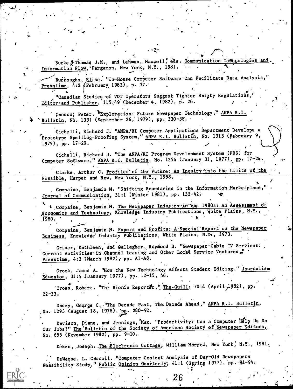Burke # Thomas J.M., and Lehman, Maxwell, eds. Communication Technologies and Information Flow, Pergamon, New York, N.Y., 1981.

Burroughs, Elise. "In-House Computer Software Can Facilitate Data Analysis," Presstime,  $4:2$  (February 1982), p. 37.

"Canadian Studies of VDT Operators Suggest Tighter Safety Regulations, Editor and Publisher, 115:49 (December 4, 1982), p. 26.

Cannon, Peter. FExploration: Future Newspaper Technology," ANPA R.I. Bulletin, No. 1331 (September 26, 1979), pp. 330-38.

Cichelli, Richard J. "ANPA/RI Computer Applications Department Develops a Prototype Spelling-Proofing System," ANPA R.I. Bulletin, No. 1313 (February 9, 1979),  $pp. 17-20.$ 

Cichelli, Richard J. "The ANPA/RI Program Development System (PDS) for Computer Software," ANPA R.I. Bulletin, No. 1254 (January 31, 1977), pp. 17-24.

Clarke, Arthur C. Profiles of the Future: An Inquiry into the Limits of the Possible, Harper and Row, New York, N.Y., 1958.

Compaine, Benjamin M. "Shifting Boundaries in the Information Marketplace, Journal of Communication, 31:1 (Winter 1981), pp. 132-42.

Compaine, Benjamin M. The Newspaper Industry in the 1980s: An Assessment of Economics and Technology, Knowledge Industry Publications, White Plains, N.Y.,  $1980.$ 

Compaine, Benjamin M. Papers and Profits: A'Special Report on the Newspaper Business, Knowledge Industry Publications, White Plains, N.Y., 1973.

Criner, Kathleen, and Gallagher, Raymond B. "Newspaper-Cable TV Services:. Current Activities in Channel Leasing and Other Local Service Ventures," Presstime, 4:3 (March 1982), pp. Al-A8.

Crook, James A. "How the New Technology Affects Student Editing," Journalism Educator, 31:4 (January 1977), pp. 12-15, 46.

'Cross, Robert. "The Bionic Reporter," The Quill, 70:4 (April, 1982), pp.  $22 - 23.$ 

Dacey, George C,. "The Decade Past, The Decade Ahead," ANPA R.I. Bulletin, No. 1293 (August 18, 1978), pp. 280-92.

Davison, Diane, and Jennings, Max. "Productivity: Can a Computer Help Us Do Our Jobs?" The Bulletin of the Society of American Society of Newspaper Editors, No. 655 (November 1982), pp. 9-10.

Deken, Joseph. The Electronic Cottage, William Morrow, New York, N.Y., 1981.

DeWeese, L. Carroll. "Computer Content Analysis of Day-Old Newspapers Feasibility Study," Public Opinion Quarterly, 41:1 (Spring 1977), pp. 91-94.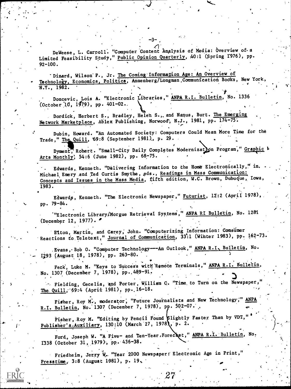DeWeese, L. Carroll. "Computer Content Analysis of Media: Overview of a Limited Feasibility Study," Public Opinion Quarterly, 40:1 (Spring 1976), pp.  $92 - 100.$ 

Dizard, Wilson P., Jr. The Coming Information Age: An Overview of Technology, Economics, Politics, Annenberg/Longman Communication Books, New York,  $N.Y., 1982.$ 

Doncevic, Lois A. "Electronic Libraries," ANPA R.I. Bulletin, No. 1336 (October 10, 1979), pp. 401-02.

Dordick, Herbert S., Bradley, Helen S., and Nanus, Burt. The Emerging Network Marketplace, Ablex Publishing, Norwood, N.J., 1981, pp. 174-75.

Dubin, Howard. "An Automated Society: Computers Could Mean More Time for the Trade," The Quill, 69:8 (September 1981), p. 29.

Dyment, Robert. "Small-City Daily Completes Modernization Program," Graphic 1 Arts Monthly, 54:6 (June 1982), pp. 68-75.

Edwards, Kenneth. "Delivering Information to the Home Electronically," in. Michael Emery and Ted Curtis Smythe, eds., Readings in Mass Communication: Concepts and Issues in the Mass Media, fifth edition, W.C. Brown, Dubuque, Iowa,  $1983.$ 

Edwards, Kenneth. "The Electronic Newspaper," Futurist, 12:2 (April 1978), pp. 79-84.

'"Electronic Library/Morgue Retrieval Systems," ANPA RI Bulletin, No. 1281 (December 12, 1977).  $\bullet$ 

Eiton, Martin, and Carey, John. "Computerizing Information: Consumer Reactions to Teletext," Journal of Communication, 33:1 (Winter 1983), pp. 162-73.

Evans, Bob O. "Computer Technology---An Outlook," ANPA R.I. Bulletin, No. I293 (August 18, 1978), pp. 263-80.

Feck, Luke M. "Keys to Success with Remote Terminals," ANPA R.I. Bulletin, No. 1307 (December 7, 1978), pp. 489-91.

Fielding, Cecelia, and Porter, William C. "Time to Turn on the Newspaper, The Quill, 69:4 (April 1981), pp. 16-18.

Fisher, Roy M., moderator, "Future Journalists and New Technology," ANPA R.I. Bulletin, No. 1307 (December 7, 1978), pp. 502-07.

Fisher, Roy M. "Editing by Pencil Found Slightly Faster Than by VDT, Publisher's Auxiliary, 130:10 (March 27, 1978), p. 2.

Ford, Joseph W. "A Five- and Ten-Year Forecast," ANPA R.I. Bulletin, No. 1338 (October 31, 1979), pp. 436-38.

Friedheim, Jerry W. "Year 2000 Newspaper: Electronic Age in Print," Presstime,  $3:8$  (August 1981), p. 19.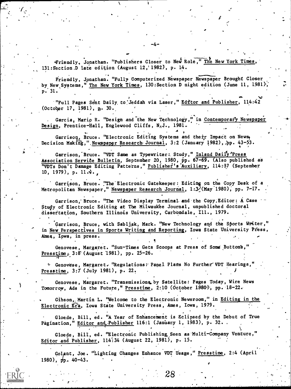Friendly, Jonathan. "Publishers Closer to New Role," The New York Times, 131:Section,D late edition (August 12,'1982), p. 14.

 $\bullet$ 

 $\mathbf{v}$  and  $\mathbf{v}$  and  $\mathbf{v}$ Friendly, Jonathan. "Fully Computerized Newspaper Newspaper Brought Closer , by New Systems," The New York Times, 130: Section D night edition (June 11, 1981), p. 31.

 $-4-$ 

NV "Full Pages Sent Daily to Jeddah via Laser," Editor and Publisher, 114:42 (October 17, 1981), p. 30.

Garcia, Mario R. "Design and the New Technology," in Contemporary Newspaper Design, Prentice-Hall, Englewood Cliffs, N.J., 1981.

 $4<sub>n</sub>$ 

Garrison, Bruce. "Electronic Editing Systems and their Impact on News, Decision Making,",Newspaper Research-Journal, 3:2 (January 1982), pp. 43-53.

Garrison, Bruce. "VDT Same as Typewriter: Study," Inland Daily 'Press Association Service Bulletin, September 20, 1980, pp. 67-69. (Also published as "VDTs Don't Damage Editing Patterns," Publisher's Auxiliary, 114:37 (September 10, 1979), p.  $11.4.$ 

Garrison, Bruce. "The Electronic Gatekeeper: Editing on the Copy Desk of a Metropolitan Newspaper," Newspaper Research Journal, 1:3 (May 1980), pp. 7-17.

Garrison, Bruce. "The Video Display Terminal and the Copy. Editor: A Case Study of Electronic Editing at The Milwaukee Journal, unpublished doctoral disseftation, Southern Illinois University, Carbondale, Ill., 1979.

Garrison, Bruce, with Sabliak, Mark. "New Technology and the Sports Writer," in <u>New Perspectives in Sports Writing and Reporting</u>, Iowa State University Press,  $\begin{bmatrix} \cdot & \cdot & \cdot \\ \cdot & \cdot & \cdot \end{bmatrix}$ Ames, Iowa, in press.

Genovese, Margaret. "Sun-Times Gets Scoops at Press of Soma Buttons," Presstime;  $3:8$  (August 1981), pp. 25-26.

 $\circ$  Genovese, Margaret. "Regulations: Panel Plans No Further VDT Hearings," Presstime, 3:7 (July 1981), p. 22.

Genovese, Margaret. "Transmissions by Satellite: Pages Today, Wire News Tomorrow, Ads in the Future," Presstime, 2:10 (October 1980), pp. 18-22.

Gibson, Martin L. "Welcome to the Electronic Newsroom," in Editing in the Electronic Era, Iowa State University Press, Ames, Iowa, 1979.

Gloede, Bill, ed. "A Year of Enhancement is Eclipsed by the Debut of True Pagination," Editor and Publisher 116:1 (January 1, 1983), p. 32..

Gloede, Bill, ed. "Electronic Publishing Seen as Multi-Company Venture," Editor and Publisher, 114:34 (August 22, 1981), p. 15.

.. . ,

Golant, Joe. "Lighting Changes Enhance VDT Usage," Presstime, 2:4 (April 1980),  $pp.40-43.$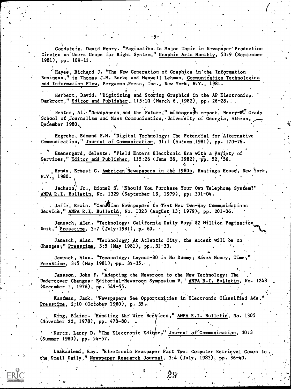Goodstein, David Henry. "Pagination.Is Major Topic in Newspaper' Production Circles as Users Grope for Right System," Graphic Arts Monthly, 53:9 (September 1981), pp. 109-13.

'Hayes, Richard J. "The New Generation of Graphics in'the Information Business," in Thomas J.M. Burke and Maxwell Lehman, Communidation Technologies and Information Flow, Pergamon, Press, Inc., New York, N.Y., 1981.

Herbert, David. "Digitizing and Storing Graphics in the AP Electronic,. Darkroom," Editor and Publisher,. 115:10 (March 6, 1982), pp. 26-28.:

\_ .

,

,

Hester, Al. "Newspapers and the Future," mimeograph report, Henry  $\mathcal{M}$ . Grady School of Journalism and Mass Communication, University of Georgia, Athens, December 1980.

Hogrebe, Edmund F.M. "Digital Technology: The Potential for Alternative Communication," Journal of Communication, 31:1 (Autumn 1981), pp. 170-76.

Huenergard, Celeste. "Field Enters Electronic Era with a Variety of Services," Editor and Publisher, 115:26 (June 26, 1982),  $p\bar{p}$ . 52, 56.

. Hynds, Ernest C. American Newspapers in the 1980s, Hastings House, New York, N.Y., 1980.

Jackson, Jr., Lionel S. "Should You Purchase Your Own Telephone System?" ANPA R.I. Bulletin, No. 1329 (September 19, 1979), pp: 301-04.

Jaffe, Erwin. "Canadian Newspapers to Test New Two-Way Communications Service," ANPA R.I. Bulletin, No. 1323 (August 13; 1979), pp. 201-06.

Janesch, Alan. "Technology: California Daily Buys \$2 Million Pagination Unit," Presstime, 3:7 (July.1981), p. 60.

Janesch, Alan. "Technology; At Atlantic City, the Accent will be on Changes;" Presstime, 3:5 (May 1981), pp..31-33.

Janesch, Alan. "Technology: Layout-80 is No Dummy; Saves Money, Time, Presstime,  $3:5$  (May 1981), pp.  $34-35$ ..

Jansson, John F. "Adapting the Newsroom to the New Technology: The Undercover Changes: Editorial-Newsroom Symposium V," ANPA R.I. Bulletin, No. 1248 (December 1, 1976), PP;,549-55.

Kaufman, Jack. "Newspapers See Opportunities in Electronic Classified Ads," Presstime,  $2:10$  (October 1980),  $p.35..$ 

King, Blaine. "Handling the Wire Services," ANPA R.I. Bulletin, No. 1305 (NOvember 22, 1978), pp. 478-80. .

. Kurtz, Larry D. "The Electronic Editor," Journal of Communication, 30:3 (Summer 1980), pp. 54-57.

Laakaniemi, Ray. "Electronic Newspaper Part Two: Computer Retrieval Comes to. the,Small Daily," Newspaper Research Journal, 3:4 (July, 1983), pp. 36-40.

<u>)</u><br>ያ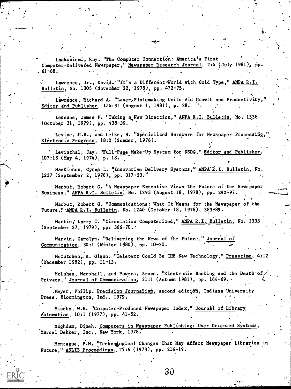Laakaniemi, Ray. "The Computer Connection: America's First Computer-Delivered Newspaper," Newspaper Research Journal, 2:4 (July. 1981), pp.  $61 - 68.$ 

Lawrence, Jr., David. "It's a Different World with Cold Type," ANPA R.I. Bulletin, No. 1305 (November 22, 1978), pp. 472-75.

Lawrence, Richard A. "Laser, Platemaking Units Aid Growth and Productivity, Editor and Publisher,  $114:31$  (August 1, 1981), p. 28.

Lennane, James P. "Taking a New Direction," ANPA R.I. Bulletin, No. 1338 (October 31, 1979), pp. 438-39.

;

Levine, G.B., and Lelke, H. "Specialized Hardware for Newspaper Processing, Electronic Progress, 18:2 (Summer, 1976).

 $\mathcal{F}$  and  $\mathcal{F}$ 

.

s.

Levinthal, Jay. "Full-Page Make-Up System for NSDG," Editor and Publisher, 107:18 (May 4; 1974), p: 18.

MacKinnon, Cyrus L. "Innovative Delivery Systems," ANPA'R.I. Bulletin, No. 1237 (September 2, 1976), pp. 317-3."

Marbut, Robert G. "A Newspaper Executive Views the Future of the Newspaper Business," ANPA R.I. Bulletin, No. 1293 (August 18, 1978), pp. 292-97.

Marbut, Robert G. "Communications: What It Means for the Newspaper of the Future,"<sup>-</sup>ANPA R.I. Bulletin, No. 1240 (October 18, 1976), 383-89.

Martin, Larry T. "Circulation Computerized," ANPA R.I. Bulletin, No. 1333 (September 27, 1979), pp. 366-70.'

Marvin, Carolyn. "Delivering the News of the Future," Journal of Communication,  $30:1$  (Winter 1980), pp. 10-20.

McCutchen, R. Glenn. "Teletext Could Be THE New Technology," Presstime, 4;12 (December 1982), pp. 11-13.

McLuhan, Marshall, and Powers, Bruce. "Electronic Banking and the Death-of Privacy," Journal of Communication, 31:1 (Autumn 1981), pp. 164-69.

Meyer, Philip. Precision Journalism, second edition, Indiana University Press, Bloomington, Ind., 1979.

Mischo, W.H. "Computer-Produced Newspaper Index," Journal of Library Automation, 10:1 (1977), pp. 41-52.

Moghdam, Dineh. Computers in Newspaper Publishing: User Oriented Systems, Marcel Dekker, Inc., New York, 1978.

Montague, P.M. "Technological Changes That May Affect Newspaper Libraries in Future," ASLIB Proceedings, 25:6 (1973), pp. 216-19.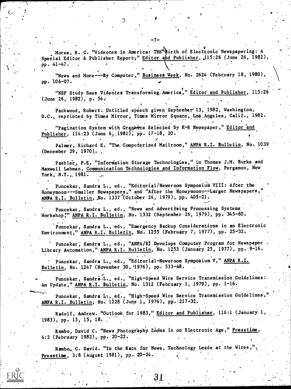Morse, R. C. "Videotex in America: Th 4 irth of Electronic Newspapering: A Special Editor & Publisher Report," Editor and Publisher, 115:26 (June 26, 1982), pp. 41-47. ,

-7-

 $\hspace{0.5cm}$  "News and More---By Computer," Business Week, No. 2624 (February 18, 1980),  $\hspace{0.5cm}$ pp. 106-07. ,

"NSF Study Sees Videotex Transforming, America," Editor and Publisher, 115:26  $\text{June } 26, 1982), \text{ p. } 54.$ . The contract of the contract of the contract of the contract of the contract of the contract of the contract of the contract of the contract of the contract of the contract of the contract of the contract of the contrac

Packwood, Robert. Untitled speech given September 13, 1982, Washington, D.C., reprinted by Times Mirror, Times Mirror Square, Los Angeles, Calif., 1982.

-

A

, "Pagination System with Graphics Selected by K-R Newspaper," Editor and Publisher, 114:23 (June 6, 1981), pp. 17-18, 20.

..

9

Palmer, Richard E. "The Computerized Mailroom," ANPA R.I. Bulletin, No. 1039 (December 29, 1970),.

 $\prime$  ,  $\prime$ 

Pashler, P.E. "Information Storage Technologies," in Thomas J.M. Burke and Maxwell Lehman, Communication Technologies and Information Flow, Pergamon, New York, N.Y.,,1981.

Puncekar, Sandra L., ed., "Editorial/Newsroom Symposium VIII: After the window Honeymoon---Smaller Newspapers," and "After the Honeymoon---Larger Newspapers," and the Honey ANPA R.I. Bulletin, No. 1337 (October 24, 1979), pp. 405-21.

.

Puncekar, Sandra L., ed., "News and Advertising Processing Systems" Workshop," ANPA R.I. Bulletin, No. 1332 (September 26, 1979), pp. 345-60.

Puncekar, Sandra L., ed., "Emergency Backup Considerations in an Electronic Environment," ANPA R.I. Bulletin, No. 1255 (February 7, 1977), pp. 25-32.

Puncekar; Sandra L., ed., "ANPA/RI Develops Computer Program for Newspaper . Library Automation," ANPA R.I. Bulletin, No. 1253 (January 25, 1977), pp. 9-16.

Puncekar, Sandra L., ed., "Editorial-Newsroom Symposium V," ANPA R.I. Bulletin, No. 1247 (November 30, 1976), pp. 533-48.

Puncekar, Sandra-L., ed., "High-Speed Wire Service Transmission Guidelines: An ypdate," ANPA R.I. Bulletin, No. 1312 (February 1, 1979), pp. 1-16.

Puncekar, Sandra L:, ed., "High-Speed Wire Service Transmission Guidelines, ANPA R.I. Bulletin; No. 1228 (June 1, 1976), pp. 217-32.

Radolf, Andrew. "Outlook for 1983," Editor and Publisher, 116:1 (January 1, 1983), pp. 13, 15, 18.

Rambo, David C. "News Photography Zooms in on Electronic Age," Presstime, 4:2 (February 1982), pp. 20-22.

Rambo., C. David. "In the Race for News, Technology Leads at the Wires," $\sqrt{ }$ Presstime,  $3:8$  (August 1981), pp. 20-24.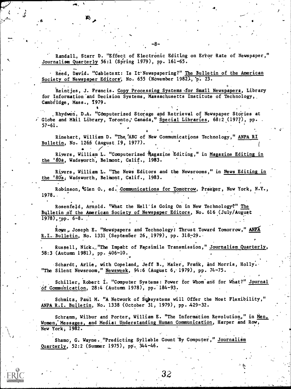Randall, Starr D. "Effect of Electronic Editing on Ertor Rate of Newspaper," Journalism Quarterly 56:1 (Spring 1979), pp. 161-65.

-8-

4.44.

Reed, David. "Cabletext: Is It Newspapering?" The Bulletin of the American Society of Newspaper Editors', No. 655 (November 1982), p. 23.

Reintjes, J. Francis. Copy Processing Systems for Small Newspapers, Library for Information'and Decision Systems, Massachusetts Institute of Technology, Cambridge, Mass., 1979.

Rhydwen, D.A. "Computerized Storage and Retrieval of Newspaper Stories at Globe and Mail Library, Toronto, Canada," Special Libraries, 68:2 (1977), pp. . 57-61.

 $\bullet$   $\bullet$   $\bullet$   $\bullet$   $\bullet$   $\bullet$ 

Rinehart, William D. "The 'ABC' of New Communications Technology," ANPA RI Bulletin, No. 1266 (August 19, 1977).

Rivers, William L. "Computerized Magazine Editing," in Magazine Editing in the '808, Wadsworth', Belmont, Calif., 1983.

Rivers, William L. "The News Editors and the Newsrooms," in News Editing in the '80s, Wadsworth, Belmont, Calif., 1983.

Robinson, Glen O., ed. Communications for Tomorrow, Praeger, New York, N.Y., 1978..

Rosenfeld, Arnold. "What the Hell'is Going On in New Technology?" The Bulletin of the American Society of Newspaper Editors, No. 616 (July/August  $1978)$ , pp.  $6-8$ .

Rowe, Joseph E. "Newspapers and Technology: Thrust Toward Tomorrow," ANPA R.I. Bulletin, No. 1331 (September 26, 1979), pp. 318-29.

Russell, Nick... "The Impact of Facsimile Transmission," Journalism Quarterly, 58:3 (Autumn 1981), pp. 406-10.

Schardt, Arlie, with Copeland, Jeff B., Maier, Frank, and Morris, Holly. "The Silent Newsroom," Newsweek, 94:6 (August 6, 1979), pp. 74-75.

Schiller, Robert I. "Computer Systems: Power for Whom and for What?" Journal of Communication, 28:4 (Autumn 1978), pp. 184-93.

Schmitz, Paul M. "A Network of Subsystems will Offer the Most Flexibility," ANPA R.I. Bulletin, No. 1338 (October 31, 1979), pp. 429-32.

Schramm, Wilbur and Porter, William E. "The Information Revolution," in Men Women, Messages, and Media: Understanding Human Communication, Harper and Row, New York, 1982.

,

.

Shamo, G. Wayne. "Predicting Syllable Count By Computer," Journalism Quarterly, 52:2 (Summer 1975), pp'. 344-46.

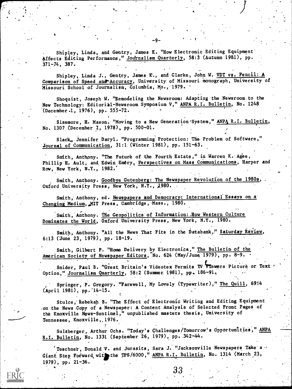Shipley, Linda, and Gentry, James K. "How Electronic Editing Equipment' Affects Editing Performance," Journalism Quarterly, 58:3 (Autumn 1981), pp. 371-74, 387.

Shipley, Linda J., Gentry, James K., and Clarke, John W. VDT vs. Pencil: A Comparison of Speed and Accuracy, University of Missouri monograph, University of Missouri School of Journalism, Columbia, Mo., 1979.

-9-

Shoquist, Joseph W. "Remodeling the Newsroom: Adapting the Newsroom to the New Technology: Editorikl-Newsroom Symposium V," ANPA R.I. Bulletin, No. 1248 -(December.1, 1976), pp. 555-72.

Sizemore, H. Mason. "Moving to a New Generation'System," ANPA R.I. Bulletin, No. 1307 (December 7, 1978), pp. 500-01.

Slack., Jennifer Daryl. "Programming Protection: The Problem of Software," Journal of Communication, 31:1 (Winter 1981), pp. 151-63.

Smith, Anthony. "The Future of the Fourth Estate," in Warren K. Agee, Phillip H. Ault, and Edwin Emery, Perspectives on Mass Communications, Harper and Row, New York, N.Y., 1982:

Smith, Anthony. Goodbye Gutenberg: The Newspaper Revolution of the 1980s, Oxford University Press, New York, N.Y., 1980.

Smith, Anthony, ed. Newspapers and Democracy: International Essays on a Changing Medium, MIT Press, Cambridge, Mass., 1980.

Smith, Anthony. The Geopolitics of Information: How Western Culture Dominates the World, Oxford University Press, New York, N.Y., 1980.

Smith, Anthony. "All the News That Fits in the Databank," Saturday Review, 6:13 (June 23, 1979), pp.'18-19.

Smith, Gilbert P. "Home Delivery by Electronics," The Bulletin of the American Society of Newspaper Editors, No. 624 (May/June 1979), pp. 8-9.

Snider, Paul B. "Great Britain's Videotex Permits TV Viewers Picture or Text ' \ Option," Journalism Quarterly, 58:2 (Summer. 1981), pp. 186-91.

Springer, P. Gregory. "Farewell, My Lovely (Typewriter)," The Quill, 69:4 (April 1981), pp.14-15.

Stulce, Rebekah B. "The Effect of Electronic Writing and Editing Equipment on the News Copy of a Newspaper: A Content Analysis of Selected Front Pages of the Knoxville News-Sentinel," unpublished masters thesis, University of Tennessee, Knoxvi1le,,1976.

Sulzberger, Arthur Ochs. "Today's Challenges/Tomorrow's Opportunities," ANPA R.I. Bulletin, No. 1331 (September 26, 1970), pp. 342-44.

Teschner, Donald V. and Jurasits, Sara J. "Jacksonville Newspapers Take a  $\prime$ Giant Step Forward with the TPS/6000," ANPA R.I. Bulletin, No. 1314 (March 23, 1979), pp. 21-36.

 $\boldsymbol{33}$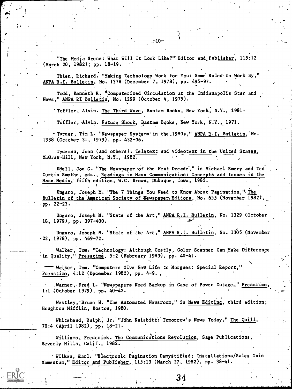"The Media Scene: What Will It Look Like?" Editor and Publisher, 115:12 (March 20, 1982); pp. 18-19.

 $. -10 -$ 

Thien, Richard. "Making Technology Work for You: Some Rules.to Work By," ANPA R.I. Bulletin, No. 1378 (December 7, 1978), pp. 495-97.

Todd, Kenneth R. "Computerized Circulation at the Indianapotis Star and News," ANPA RI Bulletin, No. 1299 (October 4, 1975).

'Toffler, Alvin. The Third Wave, Bantam Books, New York, N.Y., 1981<sup>6</sup>

Toffler, Alvin. Future Shock, Bantam Books, New York, N.Y., 1971.

Turner, Tim L. "Newspaper Systems'in the.1980s," ANPA R.I. Bulletin,'No. 1338 (October 31, 1979), pp. 432-36.

Tydeman, John (and others). Teletext and Videotext in the United States, McGraw-Hill, New York, N.Y., 1982.

Udell, Jon G. "The Newspaper-of the Next Decade'," in Michael Emery and Ted Curtis'Smythe, eds., Readings in Mass Communication: Concepts and Issues in the Mass.Media, fifth edition, W.C. Brown, Dubuque, Iowa, 1983.

Ungaro, Joseph M. "The 7 Things You Need to Know About Pagination," The Bulletin of the American Society of Newspaper, Editors, No. 655 (November 1982) .pp. 22-23.

Ungaro, Joseph M. "State of the Art," ANPA R.I. Bulletin, No. 1329 (October 14,, 1979), pp. 397-400.

Ungaro, Joseph M. "State of the Art," ANPA R.I. Bulletin, No. 1305 (November -22, 1978), pp. 469-72.

Walker, Tom. "Technology: Although Costly, Color Scanner Can Make Difference in Quality," Presstime, 5:2 (February 1983), pp. 40-41.

Walker, Tom. "Computers Give New Life to Morgues: Special Report," Presstime, 4:12 (December 1982), pp. 4-9. ,

Warner, Fred L. "Newspapers Need Backup in Case of Power Outage.," Presstime, 1:1 (October 1979), pp. 40-42.

Westley, 'Bruce H. "The Automated Newsroom," in News Editing, third edition, Houghton Mifflin, Boston, 1980.

Whitehead, Ralph, Jr. "John Naisbitt: Tomorrow's News Today," The Quill, 70:4 (April 1982), pp. 18-21.

Williams, Frederick. The Communications Reyolution, Sage Publications, Beverly Hills, Calif., 1982.

Wilken, Earl. "Electronic Pagination Demystified; Installations/Sales Gain Momentum," Editor and Publisher, 115:13 (March 27, 1982), pp. 38-41.

34